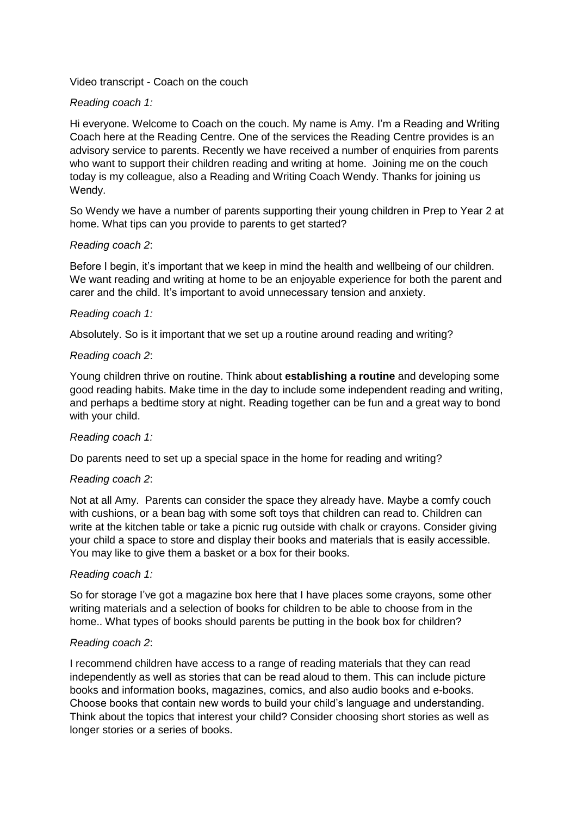Video transcript - Coach on the couch

# *Reading coach 1:*

Hi everyone. Welcome to Coach on the couch. My name is Amy. I'm a Reading and Writing Coach here at the Reading Centre. One of the services the Reading Centre provides is an advisory service to parents. Recently we have received a number of enquiries from parents who want to support their children reading and writing at home. Joining me on the couch today is my colleague, also a Reading and Writing Coach Wendy. Thanks for joining us Wendy.

So Wendy we have a number of parents supporting their young children in Prep to Year 2 at home. What tips can you provide to parents to get started?

## *Reading coach 2*:

Before I begin, it's important that we keep in mind the health and wellbeing of our children. We want reading and writing at home to be an enjoyable experience for both the parent and carer and the child. It's important to avoid unnecessary tension and anxiety.

#### *Reading coach 1:*

Absolutely. So is it important that we set up a routine around reading and writing?

### *Reading coach 2*:

Young children thrive on routine. Think about **establishing a routine** and developing some good reading habits. Make time in the day to include some independent reading and writing, and perhaps a bedtime story at night. Reading together can be fun and a great way to bond with your child.

#### *Reading coach 1:*

Do parents need to set up a special space in the home for reading and writing?

#### *Reading coach 2*:

Not at all Amy. Parents can consider the space they already have. Maybe a comfy couch with cushions, or a bean bag with some soft toys that children can read to. Children can write at the kitchen table or take a picnic rug outside with chalk or crayons. Consider giving your child a space to store and display their books and materials that is easily accessible. You may like to give them a basket or a box for their books.

#### *Reading coach 1:*

So for storage I've got a magazine box here that I have places some crayons, some other writing materials and a selection of books for children to be able to choose from in the home.. What types of books should parents be putting in the book box for children?

#### *Reading coach 2*:

I recommend children have access to a range of reading materials that they can read independently as well as stories that can be read aloud to them. This can include picture books and information books, magazines, comics, and also audio books and e-books. Choose books that contain new words to build your child's language and understanding. Think about the topics that interest your child? Consider choosing short stories as well as longer stories or a series of books.